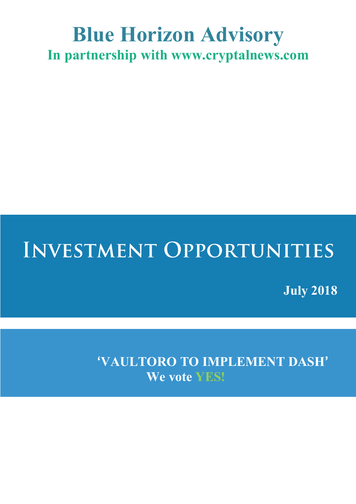### **Blue Horizon Advisory In partnership with www.cryptalnews.com**

# **INVESTMENT OPPORTUNITIES**

**July 2018**

**'VAULTORO TO IMPLEMENT DASH' We vote YES!**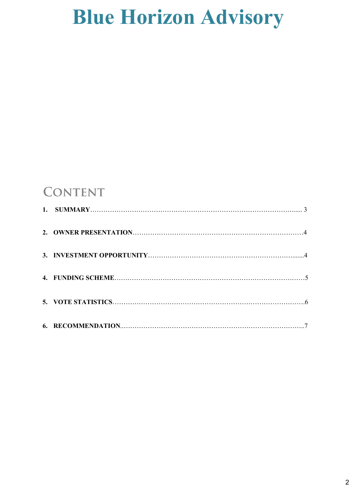### **CONTENT**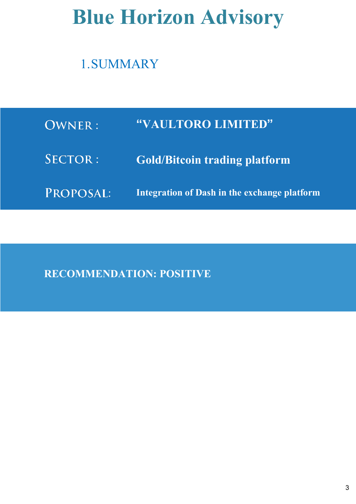### 1.SUMMARY

| <b>OWNER:</b>  | "VAULTORO LIMITED"                           |
|----------------|----------------------------------------------|
| <b>SECTOR:</b> | <b>Gold/Bitcoin trading platform</b>         |
| PROPOSAL:      | Integration of Dash in the exchange platform |

**RECOMMENDATION: POSITIVE**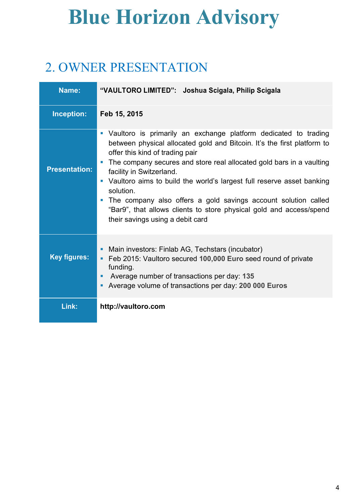### 2. OWNER PRESENTATION

| Name:                | "VAULTORO LIMITED": Joshua Scigala, Philip Scigala                                                                                                                                                                                                                                                                                                                                                                                                                                                                                                                                                                                               |
|----------------------|--------------------------------------------------------------------------------------------------------------------------------------------------------------------------------------------------------------------------------------------------------------------------------------------------------------------------------------------------------------------------------------------------------------------------------------------------------------------------------------------------------------------------------------------------------------------------------------------------------------------------------------------------|
| Inception:           | Feb 15, 2015                                                                                                                                                                                                                                                                                                                                                                                                                                                                                                                                                                                                                                     |
| <b>Presentation:</b> | Vaultoro is primarily an exchange platform dedicated to trading<br>$\blacksquare$<br>between physical allocated gold and Bitcoin. It's the first platform to<br>offer this kind of trading pair<br>The company secures and store real allocated gold bars in a vaulting<br>$\overline{\phantom{a}}$<br>facility in Switzerland.<br>Vaultoro aims to build the world's largest full reserve asset banking<br>$\blacksquare$<br>solution.<br>The company also offers a gold savings account solution called<br>$\overline{\phantom{a}}$<br>"Bar9", that allows clients to store physical gold and access/spend<br>their savings using a debit card |
| <b>Key figures:</b>  | Main investors: Finlab AG, Techstars (incubator)<br>٠<br>Feb 2015: Vaultoro secured 100,000 Euro seed round of private<br>٠<br>funding.<br>Average number of transactions per day: 135<br>ш<br>Average volume of transactions per day: 200 000 Euros<br>п                                                                                                                                                                                                                                                                                                                                                                                        |
| Link:                | http://vaultoro.com                                                                                                                                                                                                                                                                                                                                                                                                                                                                                                                                                                                                                              |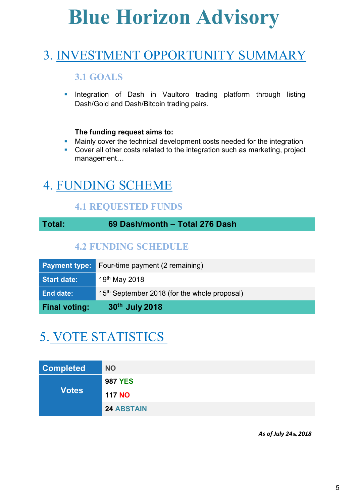### 3. INVESTMENT OPPORTUNITY SUMMARY

#### **3.1 GOALS**

**•** Integration of Dash in Vaultoro trading platform through listing Dash/Gold and Dash/Bitcoin trading pairs.

#### **The funding request aims to:**

- Mainly cover the technical development costs needed for the integration
- Cover all other costs related to the integration such as marketing, project management…

### 4. FUNDING SCHEME

#### **4.1 REQUESTED FUNDS**

**Total: 69 Dash/month – Total 276 Dash**

#### **4.2 FUNDING SCHEDULE**

| <b>Final voting:</b> | 30 <sup>th</sup> July 2018                               |
|----------------------|----------------------------------------------------------|
| <b>End date:</b>     | 15 <sup>th</sup> September 2018 (for the whole proposal) |
| <b>Start date:</b>   | 19 <sup>th</sup> May 2018                                |
| <b>Payment type:</b> | Four-time payment (2 remaining)                          |

### 5. VOTE STATISTICS

| <b>Completed</b> | <b>NO</b>         |
|------------------|-------------------|
|                  | <b>987 YES</b>    |
| <b>Votes</b>     | <b>117 NO</b>     |
|                  | <b>24 ABSTAIN</b> |

 *As of July 24th, 2018*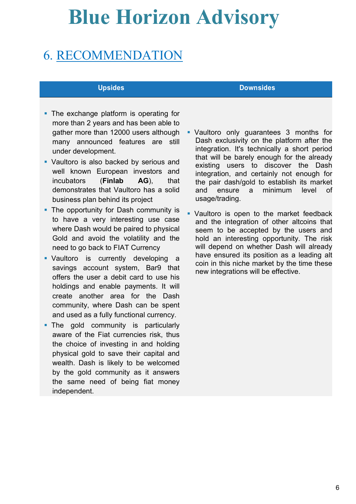### 6. RECOMMENDATION

- The exchange platform is operating for more than 2 years and has been able to gather more than 12000 users although many announced features are still under development.
- § Vaultoro is also backed by serious and well known European investors and incubators (**Finlab AG**), that demonstrates that Vaultoro has a solid business plan behind its project
- The opportunity for Dash community is to have a very interesting use case where Dash would be paired to physical Gold and avoid the volatility and the need to go back to FIAT Currency
- § Vaultoro is currently developing a savings account system, Bar9 that offers the user a debit card to use his holdings and enable payments. It will create another area for the Dash community, where Dash can be spent and used as a fully functional currency.
- The gold community is particularly aware of the Fiat currencies risk, thus the choice of investing in and holding physical gold to save their capital and wealth. Dash is likely to be welcomed by the gold community as it answers the same need of being fiat money independent.

#### **Upsides Downsides**

- § Vaultoro only guarantees 3 months for Dash exclusivity on the platform after the integration. It's technically a short period that will be barely enough for the already existing users to discover the Dash integration, and certainly not enough for the pair dash/gold to establish its market and ensure a minimum level of usage/trading.
- § Vaultoro is open to the market feedback and the integration of other altcoins that seem to be accepted by the users and hold an interesting opportunity. The risk will depend on whether Dash will already have ensured its position as a leading alt coin in this niche market by the time these new integrations will be effective.